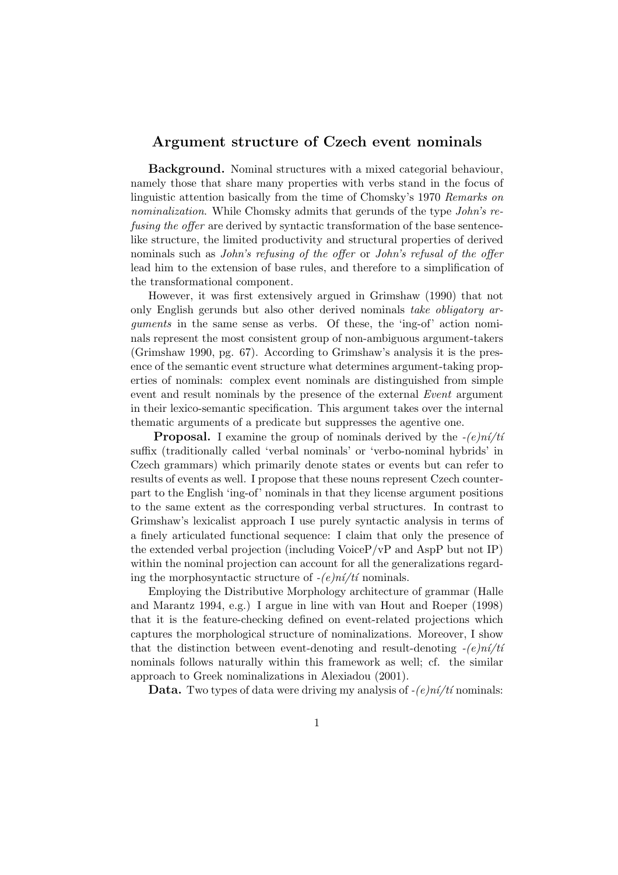## Argument structure of Czech event nominals

Background. Nominal structures with a mixed categorial behaviour, namely those that share many properties with verbs stand in the focus of linguistic attention basically from the time of Chomsky's 1970 Remarks on nominalization. While Chomsky admits that gerunds of the type John's refusing the offer are derived by syntactic transformation of the base sentencelike structure, the limited productivity and structural properties of derived nominals such as John's refusing of the offer or John's refusal of the offer lead him to the extension of base rules, and therefore to a simplification of the transformational component.

However, it was first extensively argued in Grimshaw (1990) that not only English gerunds but also other derived nominals take obligatory arguments in the same sense as verbs. Of these, the 'ing-of' action nominals represent the most consistent group of non-ambiguous argument-takers (Grimshaw 1990, pg. 67). According to Grimshaw's analysis it is the presence of the semantic event structure what determines argument-taking properties of nominals: complex event nominals are distinguished from simple event and result nominals by the presence of the external Event argument in their lexico-semantic specification. This argument takes over the internal thematic arguments of a predicate but suppresses the agentive one.

**Proposal.** I examine the group of nominals derived by the  $-(e)n<sub>i</sub>/t<sub>i</sub>$ suffix (traditionally called 'verbal nominals' or 'verbo-nominal hybrids' in Czech grammars) which primarily denote states or events but can refer to results of events as well. I propose that these nouns represent Czech counterpart to the English 'ing-of' nominals in that they license argument positions to the same extent as the corresponding verbal structures. In contrast to Grimshaw's lexicalist approach I use purely syntactic analysis in terms of a finely articulated functional sequence: I claim that only the presence of the extended verbal projection (including VoiceP/vP and AspP but not IP) within the nominal projection can account for all the generalizations regarding the morphosyntactic structure of  $-(e)n\acute{i}/t\acute{i}$  nominals.

Employing the Distributive Morphology architecture of grammar (Halle and Marantz 1994, e.g.) I argue in line with van Hout and Roeper (1998) that it is the feature-checking defined on event-related projections which captures the morphological structure of nominalizations. Moreover, I show that the distinction between event-denoting and result-denoting  $-(e)n'$ nominals follows naturally within this framework as well; cf. the similar approach to Greek nominalizations in Alexiadou (2001).

**Data.** Two types of data were driving my analysis of  $-(e)$ ní/tí nominals: